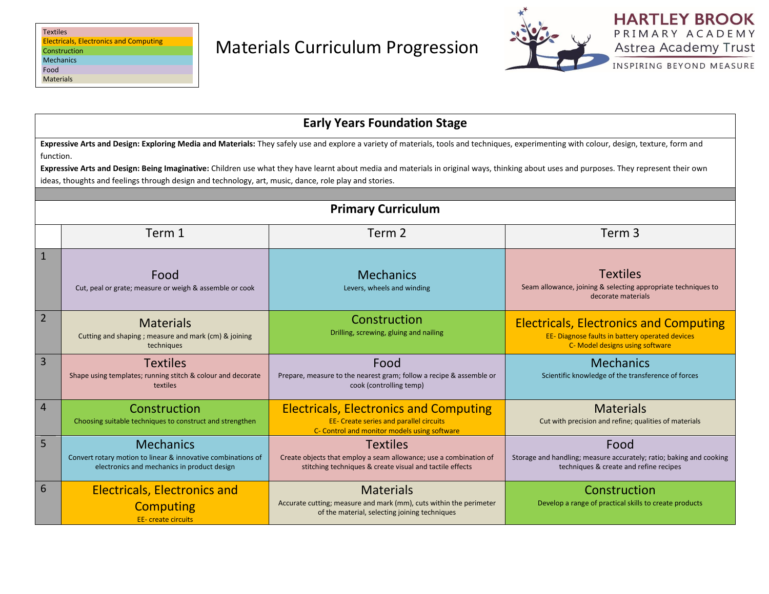

INSPIRING BEYOND MEASURE

| <b>Early Years Foundation Stage</b>                                                                                                                                                                                                                                                                                                                                                                                                                                                                         |                                                                                                                                 |                                                                                                                                                  |                                                                                                                                     |  |  |  |  |
|-------------------------------------------------------------------------------------------------------------------------------------------------------------------------------------------------------------------------------------------------------------------------------------------------------------------------------------------------------------------------------------------------------------------------------------------------------------------------------------------------------------|---------------------------------------------------------------------------------------------------------------------------------|--------------------------------------------------------------------------------------------------------------------------------------------------|-------------------------------------------------------------------------------------------------------------------------------------|--|--|--|--|
| Expressive Arts and Design: Exploring Media and Materials: They safely use and explore a variety of materials, tools and techniques, experimenting with colour, design, texture, form and<br>function.<br>Expressive Arts and Design: Being Imaginative: Children use what they have learnt about media and materials in original ways, thinking about uses and purposes. They represent their own<br>ideas, thoughts and feelings through design and technology, art, music, dance, role play and stories. |                                                                                                                                 |                                                                                                                                                  |                                                                                                                                     |  |  |  |  |
|                                                                                                                                                                                                                                                                                                                                                                                                                                                                                                             |                                                                                                                                 |                                                                                                                                                  |                                                                                                                                     |  |  |  |  |
|                                                                                                                                                                                                                                                                                                                                                                                                                                                                                                             |                                                                                                                                 | <b>Primary Curriculum</b>                                                                                                                        |                                                                                                                                     |  |  |  |  |
|                                                                                                                                                                                                                                                                                                                                                                                                                                                                                                             | Term 1                                                                                                                          | Term 2                                                                                                                                           | Term <sub>3</sub>                                                                                                                   |  |  |  |  |
| $\mathbf{1}$                                                                                                                                                                                                                                                                                                                                                                                                                                                                                                | Food<br>Cut, peal or grate; measure or weigh & assemble or cook                                                                 | <b>Mechanics</b><br>Levers, wheels and winding                                                                                                   | <b>Textiles</b><br>Seam allowance, joining & selecting appropriate techniques to<br>decorate materials                              |  |  |  |  |
| $\overline{2}$                                                                                                                                                                                                                                                                                                                                                                                                                                                                                              | <b>Materials</b><br>Cutting and shaping; measure and mark (cm) & joining<br>techniques                                          | Construction<br>Drilling, screwing, gluing and nailing                                                                                           | <b>Electricals, Electronics and Computing</b><br>EE- Diagnose faults in battery operated devices<br>C- Model designs using software |  |  |  |  |
| 3                                                                                                                                                                                                                                                                                                                                                                                                                                                                                                           | <b>Textiles</b><br>Shape using templates; running stitch & colour and decorate<br>textiles                                      | Food<br>Prepare, measure to the nearest gram; follow a recipe & assemble or<br>cook (controlling temp)                                           | <b>Mechanics</b><br>Scientific knowledge of the transference of forces                                                              |  |  |  |  |
| $\overline{4}$                                                                                                                                                                                                                                                                                                                                                                                                                                                                                              | Construction<br>Choosing suitable techniques to construct and strengthen                                                        | <b>Electricals, Electronics and Computing</b><br><b>EE- Create series and parallel circuits</b><br>C- Control and monitor models using software  | <b>Materials</b><br>Cut with precision and refine; qualities of materials                                                           |  |  |  |  |
| 5                                                                                                                                                                                                                                                                                                                                                                                                                                                                                                           | <b>Mechanics</b><br>Convert rotary motion to linear & innovative combinations of<br>electronics and mechanics in product design | <b>Textiles</b><br>Create objects that employ a seam allowance; use a combination of<br>stitching techniques & create visual and tactile effects | Food<br>Storage and handling; measure accurately; ratio; baking and cooking<br>techniques & create and refine recipes               |  |  |  |  |
| 6                                                                                                                                                                                                                                                                                                                                                                                                                                                                                                           | <b>Electricals, Electronics and</b><br><b>Computing</b><br><b>EE-</b> create circuits                                           | <b>Materials</b><br>Accurate cutting; measure and mark (mm), cuts within the perimeter<br>of the material, selecting joining techniques          | Construction<br>Develop a range of practical skills to create products                                                              |  |  |  |  |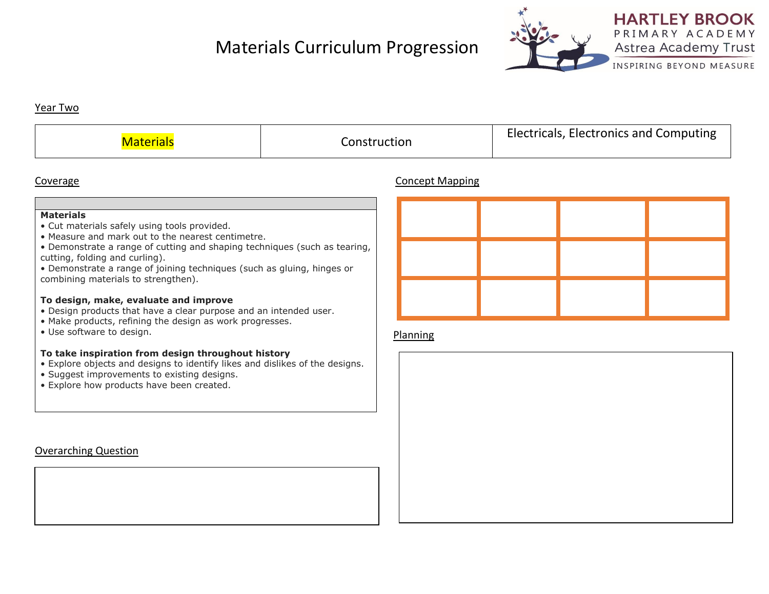# Materials Curriculum Progression



**HARTLEY BROOK** PRIMARY ACADEMY Astrea Academy Trust

INSPIRING BEYOND MEASURE

### Year Two

|  | Construction | Electricals, Electronics and Computing |
|--|--------------|----------------------------------------|
|--|--------------|----------------------------------------|

# Coverage Concept Mapping

#### **Materials**

- Cut materials safely using tools provided.
- Measure and mark out to the nearest centimetre.
- Demonstrate a range of cutting and shaping techniques (such as tearing, cutting, folding and curling).
- Demonstrate a range of joining techniques (such as gluing, hinges or combining materials to strengthen).

### **To design, make, evaluate and improve**

- Design products that have a clear purpose and an intended user.
- Make products, refining the design as work progresses.
- Use software to design.

### **To take inspiration from design throughout history**

- Explore objects and designs to identify likes and dislikes of the designs.
- Suggest improvements to existing designs.
- Explore how products have been created.

# Overarching Question



### Planning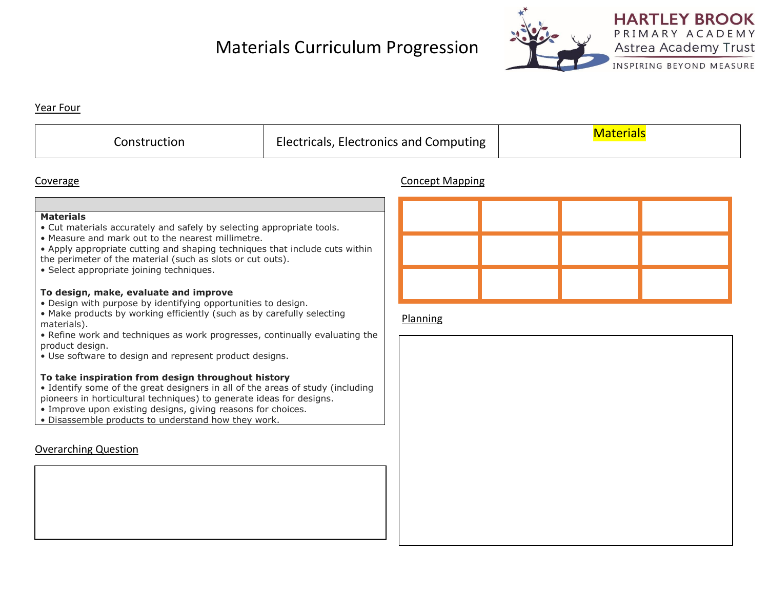# Materials Curriculum Progression



#### Year Four

| Electricals, Electronics and Computing<br>Construction | <u>Materials</u> |
|--------------------------------------------------------|------------------|
|--------------------------------------------------------|------------------|

## Coverage Concept Mapping

#### **Materials**

- Cut materials accurately and safely by selecting appropriate tools.
- Measure and mark out to the nearest millimetre.
- Apply appropriate cutting and shaping techniques that include cuts within the perimeter of the material (such as slots or cut outs).
- Select appropriate joining techniques.

### **To design, make, evaluate and improve**

- Design with purpose by identifying opportunities to design.
- Make products by working efficiently (such as by carefully selecting materials).
- Refine work and techniques as work progresses, continually evaluating the product design.
- Use software to design and represent product designs.

# **To take inspiration from design throughout history**

- Identify some of the great designers in all of the areas of study (including pioneers in horticultural techniques) to generate ideas for designs.
- Improve upon existing designs, giving reasons for choices.
- Disassemble products to understand how they work.

# Overarching Question

# Planning